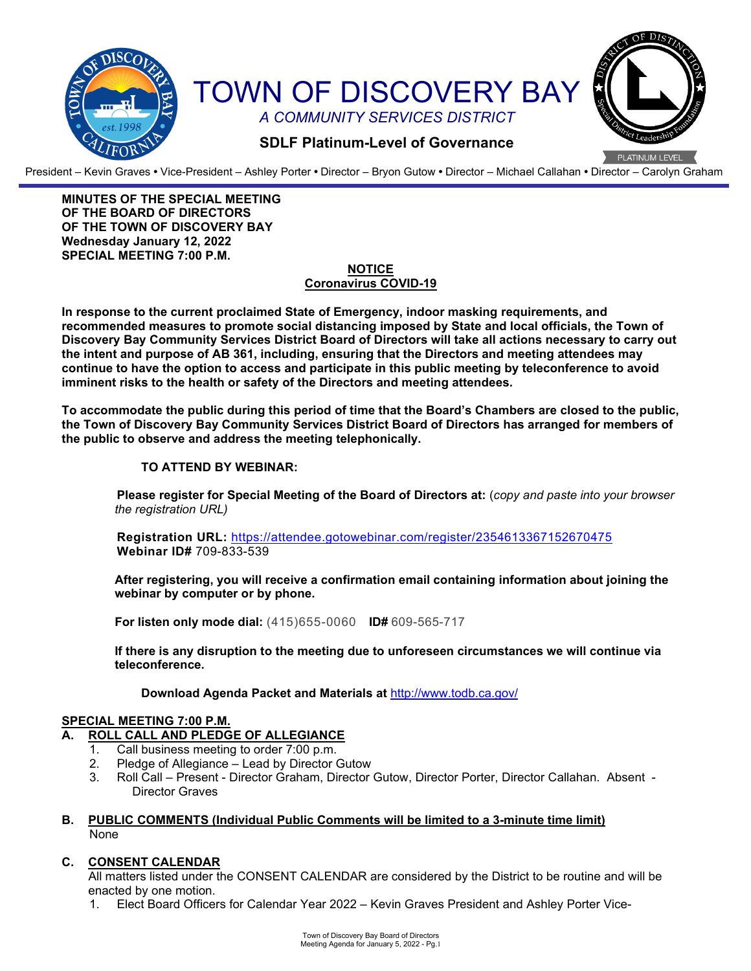

President – Kevin Graves **•** Vice-President – Ashley Porter **•** Director – Bryon Gutow **•** Director – Michael Callahan **•** Director – Carolyn Graham

**MINUTES OF THE SPECIAL MEETING OF THE BOARD OF DIRECTORS OF THE TOWN OF DISCOVERY BAY Wednesday January 12, 2022 SPECIAL MEETING 7:00 P.M.**

# **NOTICE Coronavirus COVID-19**

**In response to the current proclaimed State of Emergency, indoor masking requirements, and recommended measures to promote social distancing imposed by State and local officials, the Town of Discovery Bay Community Services District Board of Directors will take all actions necessary to carry out the intent and purpose of AB 361, including, ensuring that the Directors and meeting attendees may continue to have the option to access and participate in this public meeting by teleconference to avoid imminent risks to the health or safety of the Directors and meeting attendees.**

**To accommodate the public during this period of time that the Board's Chambers are closed to the public, the Town of Discovery Bay Community Services District Board of Directors has arranged for members of the public to observe and address the meeting telephonically.** 

# **TO ATTEND BY WEBINAR:**

**Please register for Special Meeting of the Board of Directors at:** (*copy and paste into your browser the registration URL)*

**Registration URL:** <https://attendee.gotowebinar.com/register/2354613367152670475> **Webinar ID#** 709-833-539

**After registering, you will receive a confirmation email containing information about joining the webinar by computer or by phone.**

**For listen only mode dial:** (415)655-0060 **ID#** 609-565-717

**If there is any disruption to the meeting due to unforeseen circumstances we will continue via teleconference.**

**Download Agenda Packet and Materials at** http:/[/www.todb.ca.gov/](http://www.todb.ca.gov/)

# **SPECIAL MEETING 7:00 P.M.**

# **ROLL CALL AND PLEDGE OF ALLEGIANCE**<br>1. Call business meeting to order 7:00 p.m.

- Call business meeting to order 7:00 p.m.
- 2. Pledge of Allegiance Lead by Director Gutow<br>3. Roll Call Present Director Graham Director
- 3. Roll Call Present Director Graham, Director Gutow, Director Porter, Director Callahan. Absent Director Graves

### **B. PUBLIC COMMENTS (Individual Public Comments will be limited to a 3-minute time limit)** None

# **C. CONSENT CALENDAR**

All matters listed under the CONSENT CALENDAR are considered by the District to be routine and will be enacted by one motion.

1. Elect Board Officers for Calendar Year 2022 – Kevin Graves President and Ashley Porter Vice-